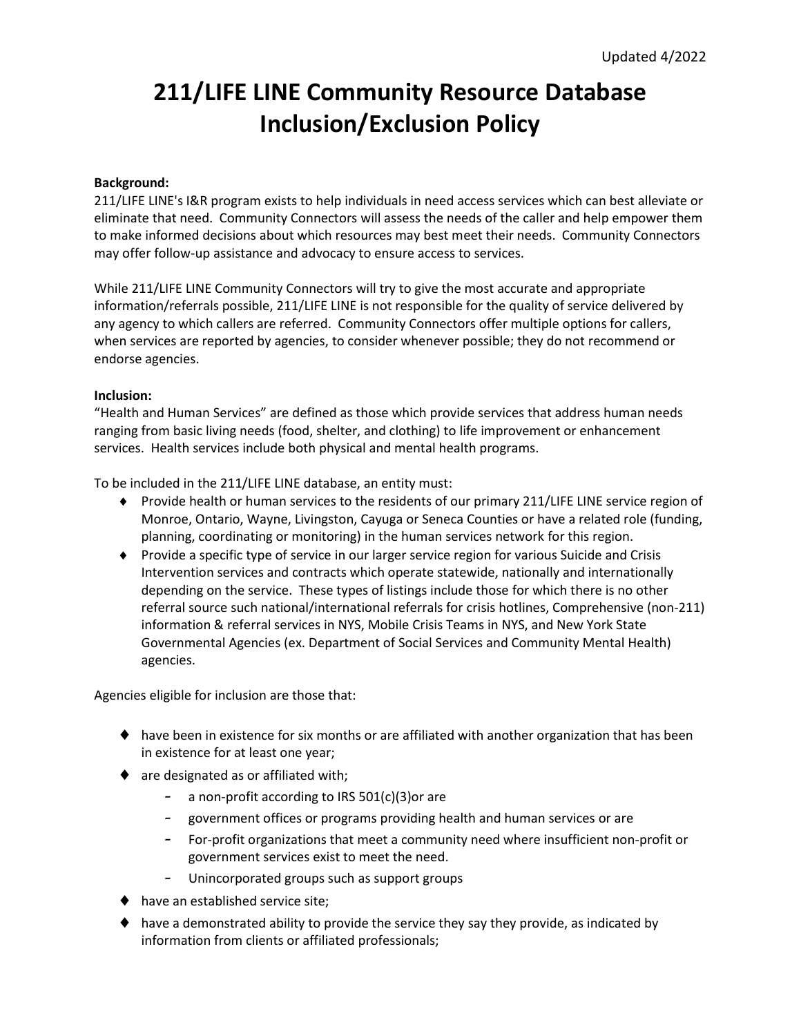# **211/LIFE LINE Community Resource Database Inclusion/Exclusion Policy**

## **Background:**

211/LIFE LINE's I&R program exists to help individuals in need access services which can best alleviate or eliminate that need. Community Connectors will assess the needs of the caller and help empower them to make informed decisions about which resources may best meet their needs. Community Connectors may offer follow-up assistance and advocacy to ensure access to services.

While 211/LIFE LINE Community Connectors will try to give the most accurate and appropriate information/referrals possible, 211/LIFE LINE is not responsible for the quality of service delivered by any agency to which callers are referred. Community Connectors offer multiple options for callers, when services are reported by agencies, to consider whenever possible; they do not recommend or endorse agencies.

## **Inclusion:**

"Health and Human Services" are defined as those which provide services that address human needs ranging from basic living needs (food, shelter, and clothing) to life improvement or enhancement services. Health services include both physical and mental health programs.

To be included in the 211/LIFE LINE database, an entity must:

- Provide health or human services to the residents of our primary 211/LIFE LINE service region of Monroe, Ontario, Wayne, Livingston, Cayuga or Seneca Counties or have a related role (funding, planning, coordinating or monitoring) in the human services network for this region.
- Provide a specific type of service in our larger service region for various Suicide and Crisis Intervention services and contracts which operate statewide, nationally and internationally depending on the service. These types of listings include those for which there is no other referral source such national/international referrals for crisis hotlines, Comprehensive (non-211) information & referral services in NYS, Mobile Crisis Teams in NYS, and New York State Governmental Agencies (ex. Department of Social Services and Community Mental Health) agencies.

Agencies eligible for inclusion are those that:

- $\blacklozenge$  have been in existence for six months or are affiliated with another organization that has been in existence for at least one year;
- ◆ are designated as or affiliated with;
	- a non-profit according to IRS 501(c)(3)or are
	- government offices or programs providing health and human services or are
	- For-profit organizations that meet a community need where insufficient non-profit or government services exist to meet the need.
	- Unincorporated groups such as support groups
- ◆ have an established service site;
- have a demonstrated ability to provide the service they say they provide, as indicated by information from clients or affiliated professionals;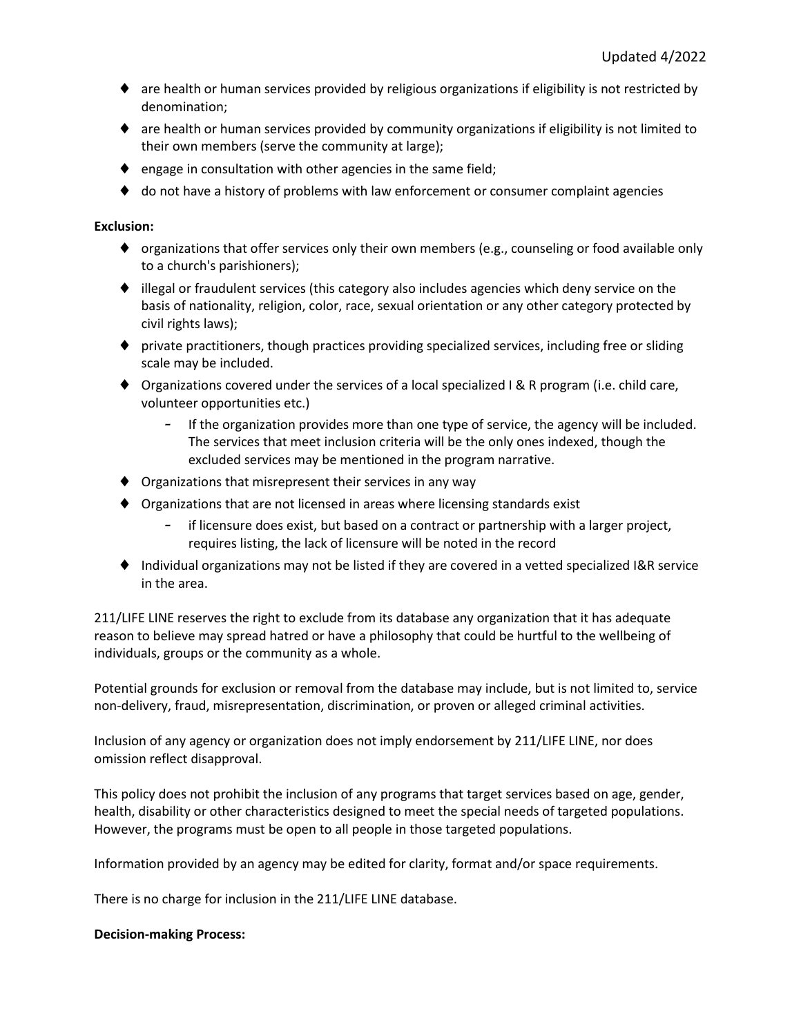- $\bullet$  are health or human services provided by religious organizations if eligibility is not restricted by denomination;
- are health or human services provided by community organizations if eligibility is not limited to their own members (serve the community at large);
- $\bullet$  engage in consultation with other agencies in the same field;
- $\blacklozenge$  do not have a history of problems with law enforcement or consumer complaint agencies

## **Exclusion:**

- $\bullet$  organizations that offer services only their own members (e.g., counseling or food available only to a church's parishioners);
- illegal or fraudulent services (this category also includes agencies which deny service on the basis of nationality, religion, color, race, sexual orientation or any other category protected by civil rights laws);
- private practitioners, though practices providing specialized services, including free or sliding scale may be included.
- ◆ Organizations covered under the services of a local specialized I & R program (i.e. child care, volunteer opportunities etc.)
	- If the organization provides more than one type of service, the agency will be included. The services that meet inclusion criteria will be the only ones indexed, though the excluded services may be mentioned in the program narrative.
- Organizations that misrepresent their services in any way
- Organizations that are not licensed in areas where licensing standards exist
	- if licensure does exist, but based on a contract or partnership with a larger project, requires listing, the lack of licensure will be noted in the record
- ◆ Individual organizations may not be listed if they are covered in a vetted specialized I&R service in the area.

211/LIFE LINE reserves the right to exclude from its database any organization that it has adequate reason to believe may spread hatred or have a philosophy that could be hurtful to the wellbeing of individuals, groups or the community as a whole.

Potential grounds for exclusion or removal from the database may include, but is not limited to, service non-delivery, fraud, misrepresentation, discrimination, or proven or alleged criminal activities.

Inclusion of any agency or organization does not imply endorsement by 211/LIFE LINE, nor does omission reflect disapproval.

This policy does not prohibit the inclusion of any programs that target services based on age, gender, health, disability or other characteristics designed to meet the special needs of targeted populations. However, the programs must be open to all people in those targeted populations.

Information provided by an agency may be edited for clarity, format and/or space requirements.

There is no charge for inclusion in the 211/LIFE LINE database.

#### **Decision-making Process:**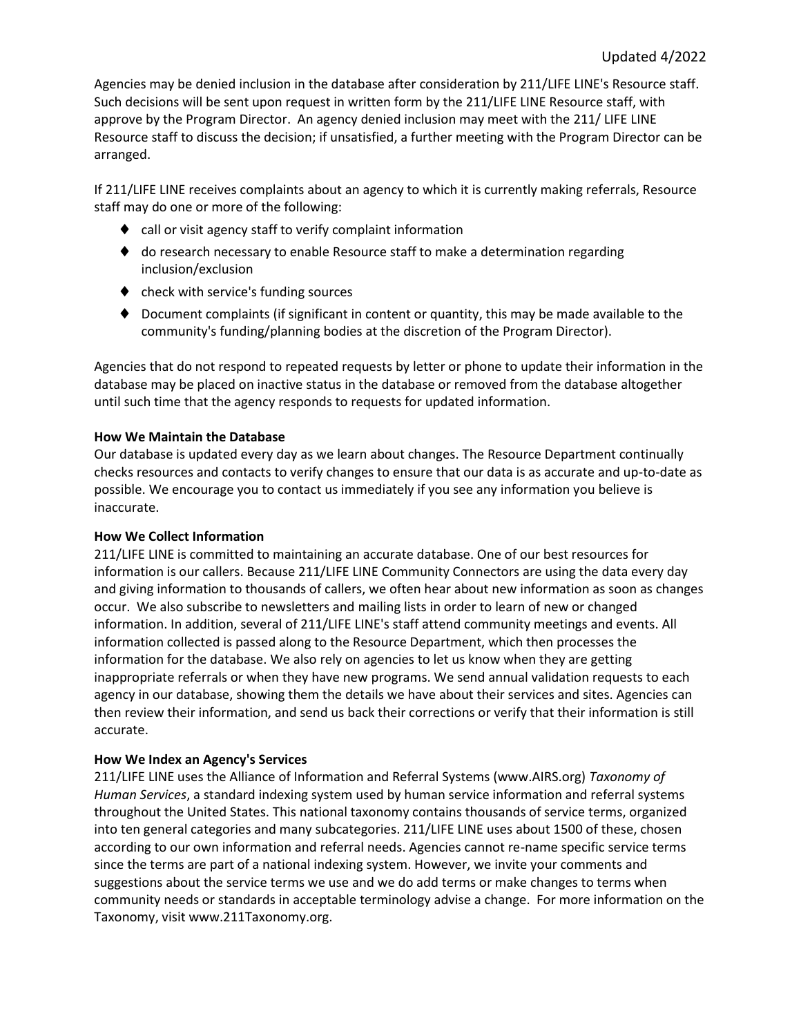Agencies may be denied inclusion in the database after consideration by 211/LIFE LINE's Resource staff. Such decisions will be sent upon request in written form by the 211/LIFE LINE Resource staff, with approve by the Program Director. An agency denied inclusion may meet with the 211/ LIFE LINE Resource staff to discuss the decision; if unsatisfied, a further meeting with the Program Director can be arranged.

If 211/LIFE LINE receives complaints about an agency to which it is currently making referrals, Resource staff may do one or more of the following:

- ◆ call or visit agency staff to verify complaint information
- ♦ do research necessary to enable Resource staff to make a determination regarding inclusion/exclusion
- ◆ check with service's funding sources
- Document complaints (if significant in content or quantity, this may be made available to the community's funding/planning bodies at the discretion of the Program Director).

Agencies that do not respond to repeated requests by letter or phone to update their information in the database may be placed on inactive status in the database or removed from the database altogether until such time that the agency responds to requests for updated information.

## **How We Maintain the Database**

Our database is updated every day as we learn about changes. The Resource Department continually checks resources and contacts to verify changes to ensure that our data is as accurate and up-to-date as possible. We encourage you to contact us immediately if you see any information you believe is inaccurate.

## **How We Collect Information**

211/LIFE LINE is committed to maintaining an accurate database. One of our best resources for information is our callers. Because 211/LIFE LINE Community Connectors are using the data every day and giving information to thousands of callers, we often hear about new information as soon as changes occur. We also subscribe to newsletters and mailing lists in order to learn of new or changed information. In addition, several of 211/LIFE LINE's staff attend community meetings and events. All information collected is passed along to the Resource Department, which then processes the information for the database. We also rely on agencies to let us know when they are getting inappropriate referrals or when they have new programs. We send annual validation requests to each agency in our database, showing them the details we have about their services and sites. Agencies can then review their information, and send us back their corrections or verify that their information is still accurate.

## **How We Index an Agency's Services**

211/LIFE LINE uses the Alliance of Information and Referral Systems (www.AIRS.org) *Taxonomy of Human Services*, a standard indexing system used by human service information and referral systems throughout the United States. This national taxonomy contains thousands of service terms, organized into ten general categories and many subcategories. 211/LIFE LINE uses about 1500 of these, chosen according to our own information and referral needs. Agencies cannot re-name specific service terms since the terms are part of a national indexing system. However, we invite your comments and suggestions about the service terms we use and we do add terms or make changes to terms when community needs or standards in acceptable terminology advise a change. For more information on the Taxonomy, visit www.211Taxonomy.org.